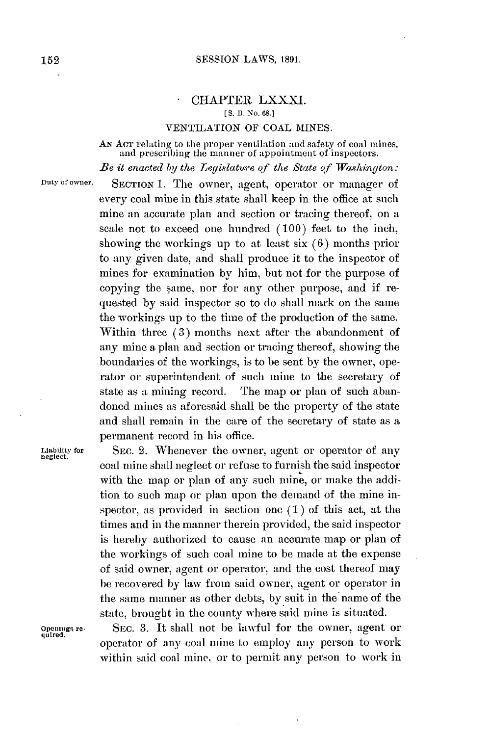## CHAPTER LXXXI. **[ S. 13. No. 68.]**

## **VENTILATION** OF **COAL MINES.**

AN ACT relating to the proper ventilation and safety of coal mines and prescribing the manner of appointment of inspectors.

*Be it enacted by the Legislature of the State of Washington:*

nuy or owner. **SECTION 1.** The owner, agent, operator or manager of every coal mine in this state shall keep in the office at such mine an accurate plan and section or tracing thereof, on a scale not to exceed one hundred **(100)** feet to the inch, showing the workings up to at least six **(6)** months prior to any given date, and shall produce it to the inspector of mines for examination **by** him, but not for the purpose of copying the same, nor for any other purpose, and if requested **by** said inspector so to do shall mark on the same the workings up to the time of the production of the same. Within three **(3)** months next after the abandonment of any mine a plan and section or tracing thereof, showing the boundaries of the workings, is to be sent **by** the owner, operator or superintendent of such mine to the secretary of state as a mining record. The map or plan of such abandoned mines as aforesaid shall be the property of the state and shall remain in the care of the secretary of state as a permanent record in his office.

Liability for **SEC. 2.** Whenever the owner, agent or operator of any neglect. coal mine shall neglect or refuse to furnish the said inspector with the map or plan of any such mine, or make the addition to such map or plan upon the demand of the mine inspector, as provided in section one **(1)** of this act, at the times and in the manner therein provided, the said inspector is hereby authorized to cause an accurate map or plan of the workings of such coal mine to **be** made at the expense of said owner, agent or operator, and the cost thereof may **be** recovered **by** law from said owner, agent or operator in the same manner as other debts, **by** suit in the name of the state, brought in the county where said mine is situated.

 $q$ uired.

Openn.gs re- SEC. **3.** It shall not be lawful for the owner, agent or operator of any coal mine to employ any person to work within said coal mine, or to permit any person to work in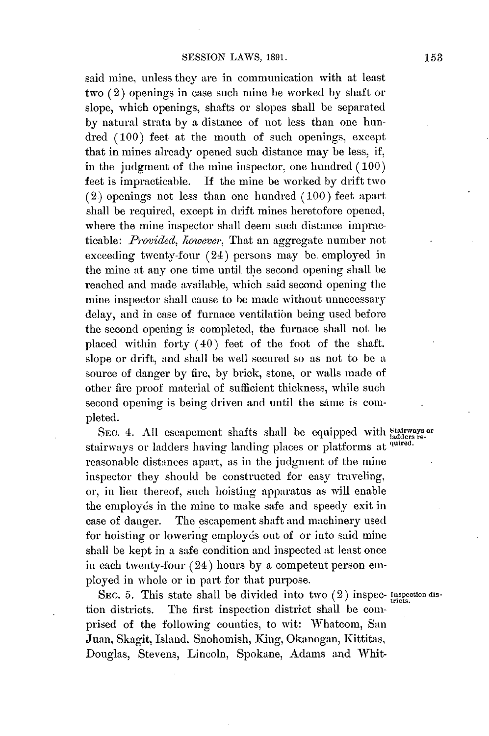said mine, unless they are in communication with at least two (2) openings in case such mine be worked by shaft or slope, which openings, shafts or slopes shall be separated **by** natural strata **by** a distance of not less than one hundred **(100)** feet at the mouth of such openings. except that in mines already opened such distance may be less, if, in the judgment of the mine inspector, one hundred **(100)** feet is impracticable. **If** the mine be worked **by** drift two (2) openings not less than one hundred **(100)** feet apart shall be required, except in drift mines heretofore opened., where the mine inspector shall deem such distance impracticable: *Provided, however,* That an aggregate number not exceeding twenty-four (24) persons may be. employed in the mine at any one time until the second opening shall be reached and made available, which said second opening the mine inspector shall cause to be made without unnecessary delay, and in case of furnace ventilation being used before the second opening is completed, the furnace shall not be placed within forty (40) feet of the foot of the shaft, slope or drift, and shall be well secured so as not to be a source of danger **by** fire, **by** brick, stone, or walls made of other fire proof material of sufficient thickness, while such second opening is being driven and until the same is completed.

SEC. 4. All escapement shafts shall be equipped with **Stairways** or stairways or ladders having landing places or platforms at <sup>quired</sup> reasonable distances apart, as in the judgment of the mine inspector they should **be** constructed for easy traveling, or, in lieu thereof, such hoisting apparatus as will enable the employés in the mine to make safe and speedy exit in case of danger. The escapement shaft and machinery used for hoisting or lowering employés out of or into said mine shall be kept in a safe condition and inspected at least once in each twenty-four (24) hours **by** a competent person employed in whole or in part for that purpose.

SEC. 5. This state shall be divided into two  $(2)$  inspec- Inspection distion districts. The first inspection district shall be comprised of the following counties, to wit: Whatcom, San Juan, Skagit, Island. Snohomish, King, Okanogan, Kittitas. Douglas, Stevens, Lincoln, Spokane, Adams and Whit-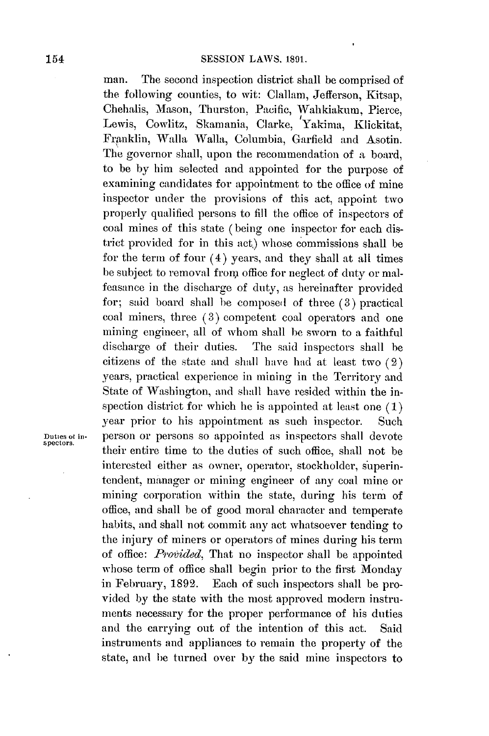man. The second inspection district shall **be** comprised of the following counties, to wit: Clallam, Jefferson, Kitsap, Chehalis, Mason, Thurston, Pacific, Wahkiakum, Pierce, Lewis, Cowlitz, Skanania, Clarke, Yakima, Klickitat, Franklin, Walla Walla, Columbia, Garfield and Asotin. The governor shall, upon the recommendation of a board, to be **by** him selected and appointed for the purpose of examining candidates for appointment to the office of mine inspector under the provisions of this act, appoint two properly qualified persons to **fill** the office of inspectors of coal mines of this state **(** being one inspector for each district provided for in this act) whose commissions shall be for the term of four (4) years, and they shall at all times be subject to removal from office for neglect of duty or malfeasance in the discharge of duty, as hereinafter provided for; said board shall be composed of three **(3)** practical coal miners, three **(3)** competent coal operators and one mining engineer, all of whom shall be sworn to a faithful discharge of their duties. The said inspectors shall be citizens of the state and shall have had at least two (2) years, practical experience in mining in the Territory and State of Washington, and shall have resided within the inspection district for which he is appointed at least one **(1)** year prior to his appointment as such inspector. Such Duties of in-<br>spectors. person or persons so appointed as inspectors shall devote their entire time to the duties of such office, shall not be interested either as owner, operator, stockholder, superintendent, manager or **mining** engineer of any coal mine or mining corporation within the state, during his term **of** office, and shall be of good moral character and temperate habits, and shall not commit any act whatsoever tending to the injury of miners or operators of mines during his term of office: *Provided,* That no inspector shall be appointed whose term of office shall begin prior to the first Monday in February, **1892.** Each of such inspectors shall be provided **by** the state with the most approved modern instruments necessary for the proper performance of his duties and the carrying out of the intention of this act. Said instruments and appliances to remain the property of the state, and **he** turned over **by** the said mine inspectors to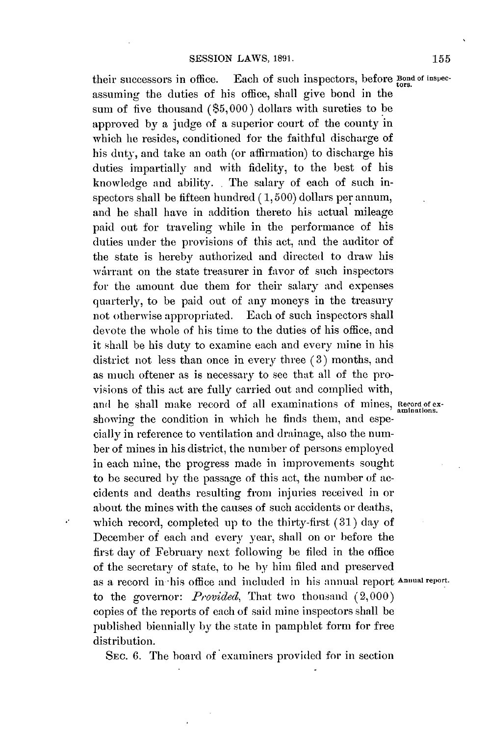their successors in office. Each of such inspectors, before **Bond of inspec**assuming the duties of his office, shall give bond in the sum of five thousand **(\$5,000)** dollars with sureties to be approved **by** a judge of a superior court of the county in which he resides, conditioned for the faithful discharge of his duty, and take an oath (or affirmation) to discharge his duties impartially and with fidelity, to the best of his knowledge and ability. **.** The salary of each of such inspectors shall be fifteen hundred **( 1, 500)** dollars per annum, and he shall have in addition thereto his actual mileage paid out for traveling while in the performance of his duties under the provisions of this act, and the auditor of the state is hereby authorized and directed to draw his warrant on the state treasurer in favor of such inspectors for the amount due them for their salary and expenses quarterly, to be paid out of any moneys in the treasury not otherwise appropriated. Each of such inspectors shall devote the whole of his time to the duties of his office, and it shall be his duty to examine each and every mine in his district not less than once in every three **(3)** months, and as much oftener as is necessary to see that all of the provisions of this act are fully carried out and complied with, and he shall make record of all examinations of mines, Record of exshowing the condition in which he finds them, and especially in reference to ventilation and drainage, also the number of mines in his district, the number of persons employed in each mine, the progress made in improvements sought to be secured **by** the passage of this act, the number of accidents and deaths resulting from injuries received in or about the mines with the causes of such accidents or deaths, which record, completed up to **the** thirty-first **(31) day** of December of each and every year, shall on or before the first **day** of February next following be filed in the office of the secretary of state, to be by him filed and preserved as a record in -his office and included in his annual report **Annual report.** to the governor: *Provided,* That two thousand (2,000) copies of the reports of each of said mine inspectors shall be published biennially **by** the state in pamphlet form for free distribution.

**SEC. 6.** The board of examiners provided for in section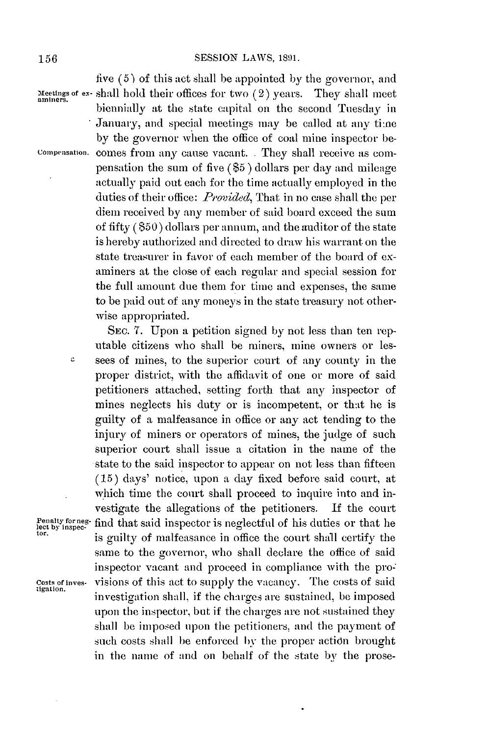c.

five **(5) of** this act shall **be** appointed **by** the governor, and Meetings of ex- shall hold their offices for two (2) years. They shall meet biennially at the state capital on the second Tuesday in January, and special meetings may be called at any time **by** the governor when the office of coal mine inspector be-Compensation. comes from any cause vacant. **.** They shall receive as compensation the sum of five **(\$5 )** dollars per **day** and mileage actually paid out each for the time actually employed in the duties of their office: *Provided,* That in no case shall the per diem received **by** any member of said board exceed the sum of fifty **(\$50)** dollars per annum, and the auditor of the state is hereby authorized and directed to draw his warrant on the state treasurer in favor of each member of the board of examiners at the close of each regular and special session for the full amount due them for time and expenses, the same to be paid out of any moneys in the state treasury not otherwise appropriated.

**SEC. 7.** Upon a petition signed **by** not less than ten reputable citizens who shall be miners, mine owners or lessees of mines, to the superior court of any county in the proper district, with the affidavit of one or more of said petitioners attached, setting forth that any inspector of mines neglects his duty or is incompetent, or that he is guilty of a malfeasance in office or any act tending to the injury of miners or operators of mines, the judge of such superior court shall issue a citation in the name of the state to the said inspector to appear on not less than fifteen **(15)** days' notice, upon a day fixed before said court, at which time the court shall proceed to inquire into and investigate the allegations of the petitioners. **If** the court Penalty forneg- find that said inspector is neglectful of his duties or that he<br>lect by inspec-<br>tor. is guilty of malfeasance in office the court shall certify the same to the governor, who shall declare the office of said inspector vacant and proceed in compliance with the provisions of this act to supply the vacancy. The costs of said Costs of inves-<br>tigation. investigation shall, if the charges are sustained, be imposed upon the inspector, but if the charges are not sustained they shall be imposed upon the petitioners, and the payment of such costs shall be enforced by the proper action brought in the name of and on behalf of the state **by** the prose-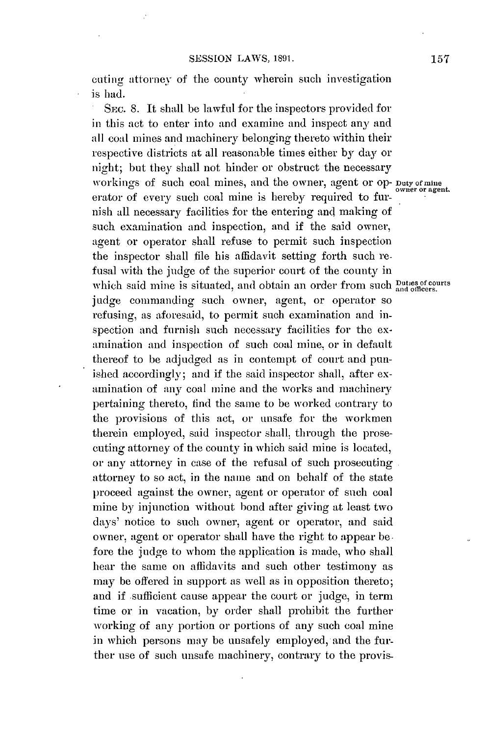cuting attorney of the county wherein such investigation is had.

**SEC. 8.** It shall **be** lawful for the inspectors provided for in this act to enter into and examine and inspect any **and** all coal mines and machinery belonging thereto within their respective districts at all reasonable times either **by day** or night; but they shall not hinder or obstruct the necessary workings of such coal mines, and the owner, agent or op- Duty of mine<br>workings of such coal mines, and the owner, agent or op- Duty of mine erator of every such coal mine is hereby required to furnish all necessary facilities for the entering and making of such examination and inspection, and if the said owner, agent or operator shall refuse to permit such inspection the inspector shall file his affidavit setting forth such refusal with the judge of the superior court of the county in which said mine is situated, and obtain an order from such **Duties of courts** judge commanding such owner, agent, or operator so refusing, as aforesaid, to permit such examination and inspection and furnish such necessary facilities for the examination and inspection of such coal mine, or in default thereof to be adjudged as in contempt of court and punished accordingly; and if the said inspector shall, after examination of any coal mine and the works and machinery pertaining thereto, find the same to **be** worked contrary to the provisions of this act, or unsafe for the workmen therein employed, said inspector shall, through the prosecuting attorney of the county in which said mine is located, or any attorney in case of the refusal of such prosecuting attorney to so act, in the name and on behalf of the state proceed against the owner, agent or operator of such coal mine **by** injunction without bond after giving at least two days' notice to such owner, agent or operator, and said owner, agent or operator shall have the right to appear **be.** fore the judge to whom the application is made, who shall hear the same on affidavits and such other testimony as may be offered in support as well as in opposition thereto; and if sufficient cause appear the court or judge, in term time or in vacation, **by** order shall prohibit the further working of any portion or portions of any such coal mine in which persons may be unsafely employed, and the further use of such unsafe machinery, contrary to the provis-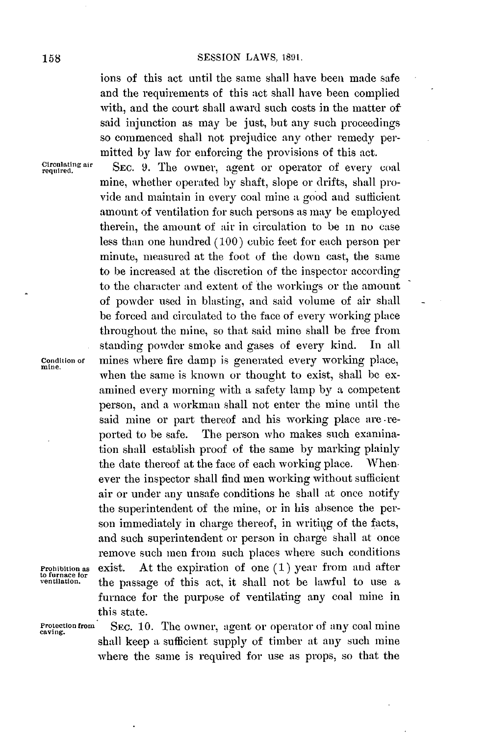ions of this act until the same shall have been made safe and the requirements of this act shall have been complied with, and the court shall award such costs in the matter of said injunction as may be just, but any such proceedings so commenced shall not prejudice any other remedy permitted **by** law for enforcing the provisions of this act.

**Circulating air** required.

SEC. 9. The owner, agent or operator of every coal mine, whether operated **by** shaft, slope or drifts, shall provide and maintain in every coal mine a good and sufficient amount of ventilation for such persons as may be employed therein, the amount of air in circulation to be in no case less than one hundred **(100)** cubic feet for each person per minute, measured at the foot of the down cast, the same to be increased at the discretion of the inspector according to the character and extent of the workings or the amount of powder used in blasting, and said volume of air shall be forced and circulated to the face of every working place throughout the mine, so that said mine shall be free from standing powder smoke and gases of every kind. In all **Condition of** mines where fire damp is generated every working place, **mine. <sup>z</sup>** when the same is known or thought to exist, shall **be** examined every morning with a safety lamp **by a** competent person, and a workman shall not enter the mine until the said mine or part thereof and his working place are -reported to be safe. The person who makes such examination shall establish proof of the same **by** marking plainly the date thereof at the face of each working place. Whenever the inspector shall find men working without sufficient air or under any unsafe conditions he shall at once notify the superintendent of the mine, or in his absence the person immediately in charge thereof, in writing of the facts, and such superintendent or person in charge shall at once remove such men from such places where such conditions **Prohibition as** exist. At the expiration of one **(1)** year from and after the passage of this act, it shall not be lawful to use a furnace for the purpose of ventilating any coal mine in this state.

**to furnace** for

Protection from SEC. 10. The owner, agent or operator of any coal mine caving. shall keep a sufficient supply of timber at any such mine where the same is required for use as props, so that the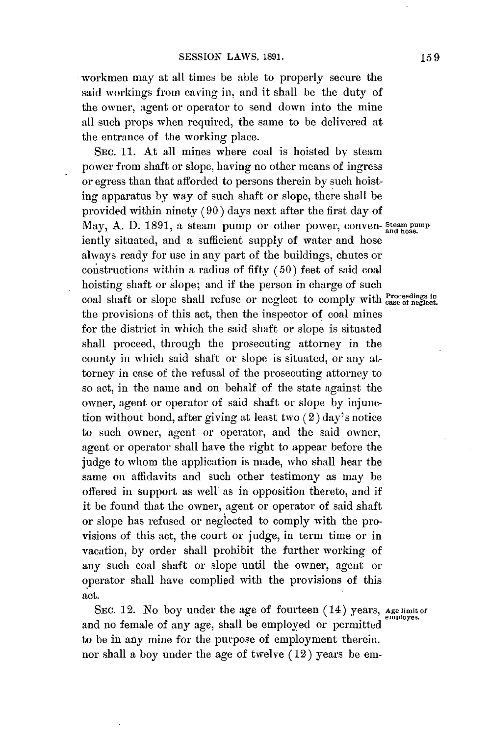workmen may at all times be able to properly secure the said workings from caving in. and it shall be the duty of the owner, agent or operator to send down into the mine all such props when required, the same to be delivered at the entrance of the working place.

**SEC. 11.** At all mines where coal is hoisted **by** steam power from shaft or slope, having no other means of ingress or egress than that afforded to persons therein **by** such hoisting apparatus **by** way of such shaft or slope, there shall be provided within ninety **(90)** days next after the first day of May, **A. D. 1891,** a steam pump or other power, conven- **Steam pump and hose.** iently situated, and a sufficient supply of water and hose always ready for use in any part of the buildings, chutes or constructions within a radius of fifty **(50)** feet of said coal hoisting shaft or slope; and if the person in charge of such coal shaft or slope shall refuse or neglect to comply with ease of neglect. the provisions of this act, then the inspector of coal mines for the district in which the said shaft or slope is situated shall proceed, through the prosecuting attorney in the county in which said shaft or slope is situated, or any attorney in case of the refusal of the prosecuting attorney to so act, in the name and on behalf of the state against the owner, agent or operator of said shaft or slope **by** injunction without bond, after giving at least two (2) day's notice to such owner, agent or operator, and the said owner, agent or operator shall have the right to appear before the judge to whom the application is made, who shall hear the same on affidavits and such other testimony as may be offered in support as well as in opposition thereto, and if it **be** found that the owner, agent or operator of said shaft or slope has refused or neglected to comply with the provisions of this act, the court or judge, in term time or in vacation, **by** order shall prohibit the further working of any such coal shaft or slope until the owner, agent or operator shall have complied with the provisions of this act.

**SEC.** 12. No boy under the age of fourteen (14) years. **Age limit of employes.** and no female of any age, shall be employed or permitted to be in any mine for the purpose of employment therein. nor shall a boy under the age of twelve (12) years **be** em-

**159**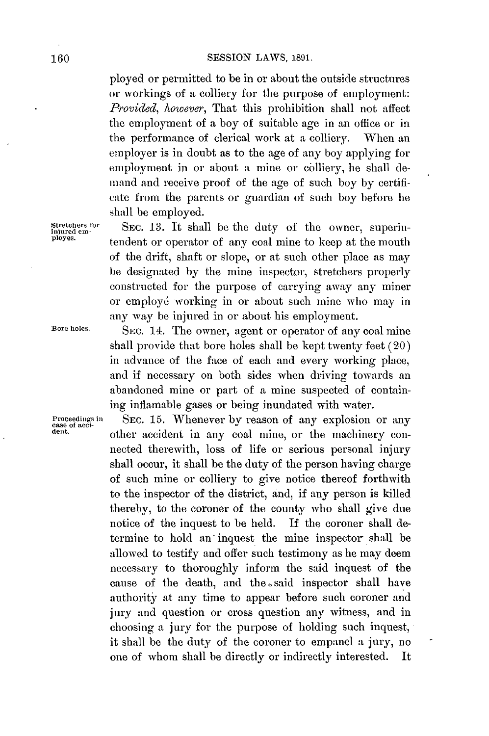ployed or permitted to be in or about the outside structures or workings of a colliery for the purpose of employment: *Provided, however,* That this prohibition shall not affect the employment of a boy of suitable age in an office or in the performance of clerical work at a colliery. When an employer is in doubt as to the age of any boy applying for employment in or about a mine or colliery, he shall denand and receive proof of the age of such boy **by** certificate from the parents or guardian of such boy before he shall **be** employed.

Stretchers for **SEC. 13.** It shall be the duty of the owner, superin-<br>plured em-<br>pluyes. tendent or operator of any coal mine to keep at the mouth of the drift, shaft or slope, or at such other place as may be designated **by** the mine inspector, stretchers properly constructed for the purpose of carrying away any miner or employd working in or about such mine who may in any way be injured in or about his employment.

**Bore holes. SEC.** 14. The owner, agent or operator of any coal mine shall provide that bore holes shall be kept twenty feet (20) in advance of the face of each and every working place, and if necessary on both sides when driving towards an abandoned mine or part of a mine suspected of containing inflamable gases or being inundated with water.

**Proceedings in** SEC. 15. Whenever by reason of any explosion or any detection of a second  $\frac{1}{2}$ other accident in any coal mine, or the machinery connected therewith, loss of life or serious personal injury shall occur, it shall be the duty of the person having charge of such mine or colliery to give notice thereof forthwith to the inspector of the district, and, if any person is killed thereby, to the coroner of the county who shall give due notice of the inquest to be held. **If** the coroner shall determine to hold an inquest the mine inspector shall be allowed to testify and offer such testimony as he may deem necessary to thoroughly inform the said inquest of the cause of the death, and the said inspector shall have authority at any time to appear before such coroner and jury and question or cross question any witness, and in choosing a jury for the purpose of holding such inquest, it shall **be** the duty of the coroner to empanel a jury, no one of whom shall be directly or indirectly interested. It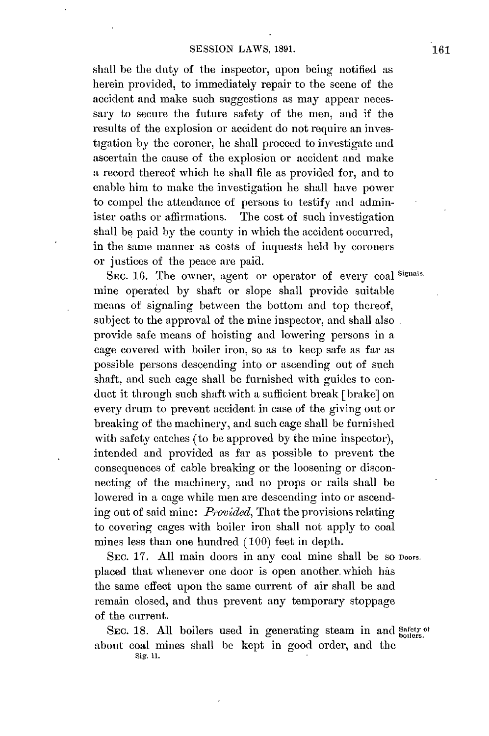## **SESSION** LAWS, **1891.**

shall be the duty of the inspector, upon being notified as herein provided, to immediately repair to the scene of the accident and make such suggestions as may appear necessary to secure the future safety of the men, and **if** the results of the explosion or accident do not require an investigation **by** the coroner, he shall proceed to investigate and ascertain the cause of the explosion or accident and make a record thereof which he shall file as provided for, and to enable him to make the investigation he shall have power to compel the attendance of persons to testify and administer oaths or affirmations. The cost of such investigation shall **be** paid **by** the county in which the accident occurred, in the same manner as costs of inquests held **by** coroners or justices of the peace are paid.

**SEc. 16.** The owner. agent or operator of every coal **Signals.** mine operated **by** shaft or slope shall provide suitable means of signaling between the bottom and top thereof, subject to the approval of the mine inspector, and shall also provide safe means of hoisting and lowering persons in a cage covered with boiler iron, so as to keep safe as far as possible persons descending into or ascending out of such shaft, and such cage shall be furnished with guides to conduct it through such shaft with a sufficient break [brake] on every drum to prevent accident in case of the giving out or breaking of the machinery, and such cage shall be furnished with safety catches (to be approved **by** the mine inspector), intended and provided as far as possible to prevent the consequences of cable breaking or the loosening or disconnecting of the machinery, and no props or rails shall be lowered in a cage while men are descending into or ascending out of said mine: *Provided,* That the provisions relating to covering cages with boiler iron shall not apply to coal mines less than one hundred **(100)** feet in depth.

SEC. 17. All main doors in any coal mine shall be so Doors. placed that whenever one door is open another. which has the same effect upon the same current of air shall be and remain closed, and thus prevent any temporary stoppage of the current.

SEc. **18. All** boilers used in generating steam in and **safety ot** about coal mines shall be kept in good order, and the **Sig. 11.**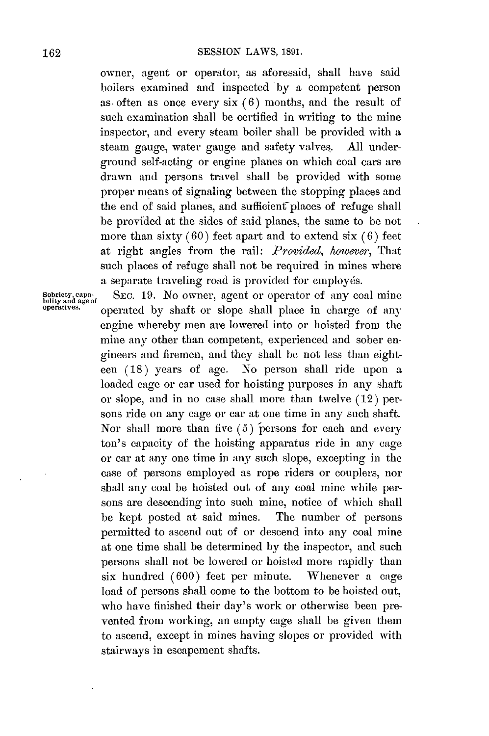owner, agent or operator, as aforesaid, shall have said boilers examined and inspected **by** a competent person as. often as once every six **(6)** months, and the result of such examination shall be certified in writing to the mine inspector, and every steam boiler shall be provided with **a** steam gauge, water gauge and safety valves. **All** underground self-acting or engine planes on which coal cars are drawn and persons travel shall **be** provided with some proper means of signaling between the stopping places and the end of said planes, and sufficient places of refuge shall be provided at the sides of said planes, the same to be not more than sixty **(60)** feet apart and to extend six **(6)** feet at right angles from the rail: *Provided, however,* That such places of refuge shall not be required in mines where a separate traveling road is provided for employes.

Sobriety, capa- SEC. 19. No owner, agent or operator of any coal mine bility and age of any coal mine **operatives**. **operated by shaft or slope shall place in charge of any** engine whereby men are lowered into or hoisted from the mine any other than competent, experienced and sober engineers and firemen, and they shall **be** not less than eighteen **(18)** years of age. No person shall ride upon a loaded cage or car used for hoisting purposes in any shaft or slope, and in no case shall more than twelve (12) persons ride on any cage or car at one time in any such shaft. Nor shall more than five (5) persons for each and every ton's capacity of the hoisting apparatus ride in any cage or car at any one time in any such slope, excepting in the case of persons employed as rope riders or couplers, nor shall any coal **be** hoisted out of any coal mine while persons are descending into such mine, notice of which shall **be** kept posted at said mines. The number of persons permitted to ascend out of or descend into any coal mine at one time shall be determined **by** the inspector, and such persons shall not be lowered or hoisted more rapidly than six hundred **(600)** feet per minute. Whenever a cage load of persons shall come to the bottom to be hoisted out, who have finished their day's work or otherwise been prevented from working, an empty cage shall be given them to ascend, except in mines having slopes or provided with stairways in escapement shafts.